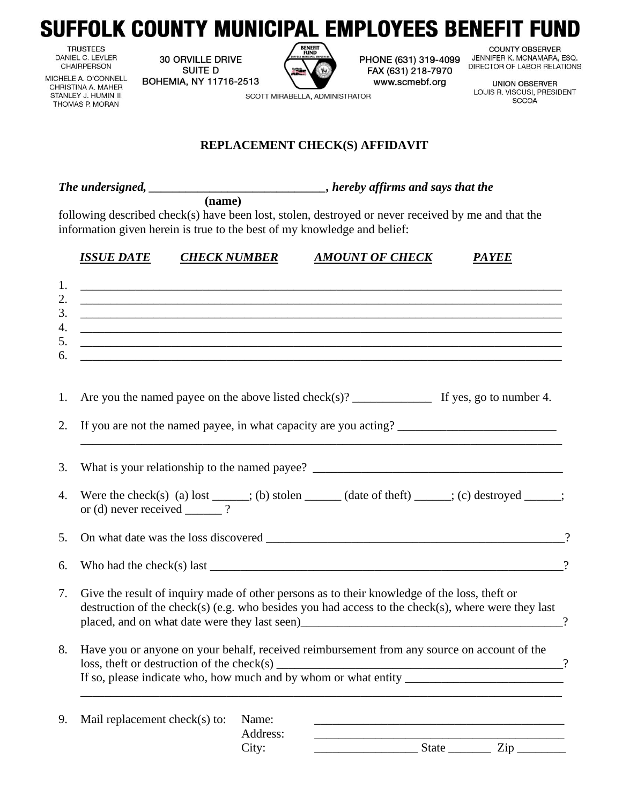## SUFFOLK COUNTY MUNICIPAL EMPLOYEES BENEFIT FUND

**TRUSTEES** DANIEL C. LEVLER CHAIRPERSON

**30 ORVILLE DRIVE SUITE D** BOHEMIA, NY 11716-2513



SCOTT MIRABELLA, ADMINISTRATOR

PHONE (631) 319-4099 FAX (631) 218-7970 www.scmebf.org

**COUNTY OBSERVER** JENNIFER K. MCNAMARA, ESQ. DIRECTOR OF LABOR RELATIONS

**UNION OBSERVER** LOUIS R. VISCUSI, PRESIDENT **SCCOA** 

MICHELE A. O'CONNELL CHRISTINA A. MAHER STANLEY J. HUMIN III THOMAS P. MORAN

## **REPLACEMENT CHECK(S) AFFIDAVIT**

*The undersigned, \_\_\_\_\_\_\_\_\_\_\_\_\_\_\_\_\_\_\_\_\_\_\_\_\_\_\_\_\_, hereby affirms and says that the*

**(name)**

following described check(s) have been lost, stolen, destroyed or never received by me and that the information given herein is true to the best of my knowledge and belief:

| <b>CHECK NUMBER</b> | <b>AMOUNT OF CHECK</b>                                                                                                                                                                                                                                                                | <b>PAYEE</b> |
|---------------------|---------------------------------------------------------------------------------------------------------------------------------------------------------------------------------------------------------------------------------------------------------------------------------------|--------------|
|                     |                                                                                                                                                                                                                                                                                       |              |
|                     |                                                                                                                                                                                                                                                                                       |              |
|                     |                                                                                                                                                                                                                                                                                       |              |
|                     | <u> 1999 - Jan Alexander (h. 1989).</u><br><u> 1989 - Jan James James Barnett, mendekan berkenal (herrialdean berkenal) eta biztanleria (h. 1989).</u>                                                                                                                                |              |
|                     |                                                                                                                                                                                                                                                                                       |              |
|                     |                                                                                                                                                                                                                                                                                       |              |
|                     |                                                                                                                                                                                                                                                                                       |              |
|                     | Were the check(s) (a) lost _____; (b) stolen ______ (date of theft) ______; (c) destroyed ______; or (d) never received _____?                                                                                                                                                        |              |
|                     |                                                                                                                                                                                                                                                                                       |              |
|                     | Who had the check(s) last $\frac{1}{2}$ and $\frac{1}{2}$ and $\frac{1}{2}$ and $\frac{1}{2}$ and $\frac{1}{2}$ and $\frac{1}{2}$ and $\frac{1}{2}$ and $\frac{1}{2}$ and $\frac{1}{2}$ and $\frac{1}{2}$ and $\frac{1}{2}$ and $\frac{1}{2}$ and $\frac{1}{2}$ and $\frac{1}{2}$ and |              |
|                     |                                                                                                                                                                                                                                                                                       |              |
|                     | Give the result of inquiry made of other persons as to their knowledge of the loss, theft or<br>destruction of the check(s) (e.g. who besides you had access to the check(s), where were they last                                                                                    |              |